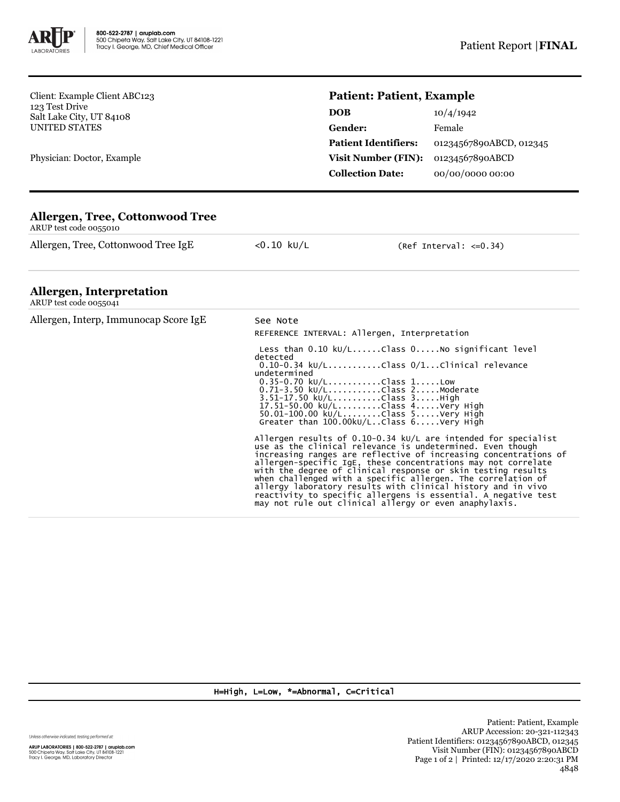

Client: Example Client ABC123 123 Test Drive Salt Lake City, UT 84108 UNITED STATES

Physician: Doctor, Example

## **Patient: Patient, Example**

| <b>DOB</b>                  | 10/4/1942               |
|-----------------------------|-------------------------|
| Gender:                     | Female                  |
| <b>Patient Identifiers:</b> | 01234567890ABCD, 012345 |
| <b>Visit Number (FIN):</b>  | 01234567890ABCD         |
| <b>Collection Date:</b>     | 00/00/0000 00:00        |

## **Allergen, Tree, Cottonwood Tree**

ARUP test code 0055010

Allergen, Tree, Cottonwood Tree IgE <0.10 kU/L (Ref Interval: <= 0.34)

## **Allergen, Interpretation**

| ARUP test code 0055041                |                                                                                                                                                                                                                                                                                                                                                                                                                                                                                                                                                                                                                                                                                                                                                                                                                            |  |  |
|---------------------------------------|----------------------------------------------------------------------------------------------------------------------------------------------------------------------------------------------------------------------------------------------------------------------------------------------------------------------------------------------------------------------------------------------------------------------------------------------------------------------------------------------------------------------------------------------------------------------------------------------------------------------------------------------------------------------------------------------------------------------------------------------------------------------------------------------------------------------------|--|--|
| Allergen, Interp, Immunocap Score IgE | See Note<br>REFERENCE INTERVAL: Allergen, Interpretation                                                                                                                                                                                                                                                                                                                                                                                                                                                                                                                                                                                                                                                                                                                                                                   |  |  |
|                                       | Less than $0.10 \ \text{kU/L} \dots$ Class $0 \dots$ No significant level<br>detected<br>$0.10-0.34$ kU/LClass $0/1$ Clinical relevance<br>undetermined<br>$0.35 - 0.70$ kU/LClass 1Low<br>$0.71 - 3.50 \text{ kU/L}$ Class 2Moderate<br>3.51-17.50 kU/LClass 3High<br>17.51-50.00 ku/LClass 4Very High<br>$50.01 - 100.00 \text{ kU/L}$ Class 5Very High<br>Greater than $100.00$ kU/LClass $6. \ldots$ .Very High<br>Allergen results of $0.10-0.34$ kU/L are intended for specialist<br>use as the clinical relevance is undetermined. Even though<br>increasing ranges are reflective of increasing concentrations of<br>allergen-specific IgE, these concentrations may not correlate<br>with the degree of clinical response or skin testing results<br>when challenged with a specific allergen. The correlation of |  |  |
|                                       | allergy laboratory results with clinical history and in vivo<br>reactivity to specific allergens is essential. A negative test<br>may not rule out clinical allergy or even anaphylaxis.                                                                                                                                                                                                                                                                                                                                                                                                                                                                                                                                                                                                                                   |  |  |

H=High, L=Low, \*=Abnormal, C=Critical

Unless otherwise indicated, testing performed at: